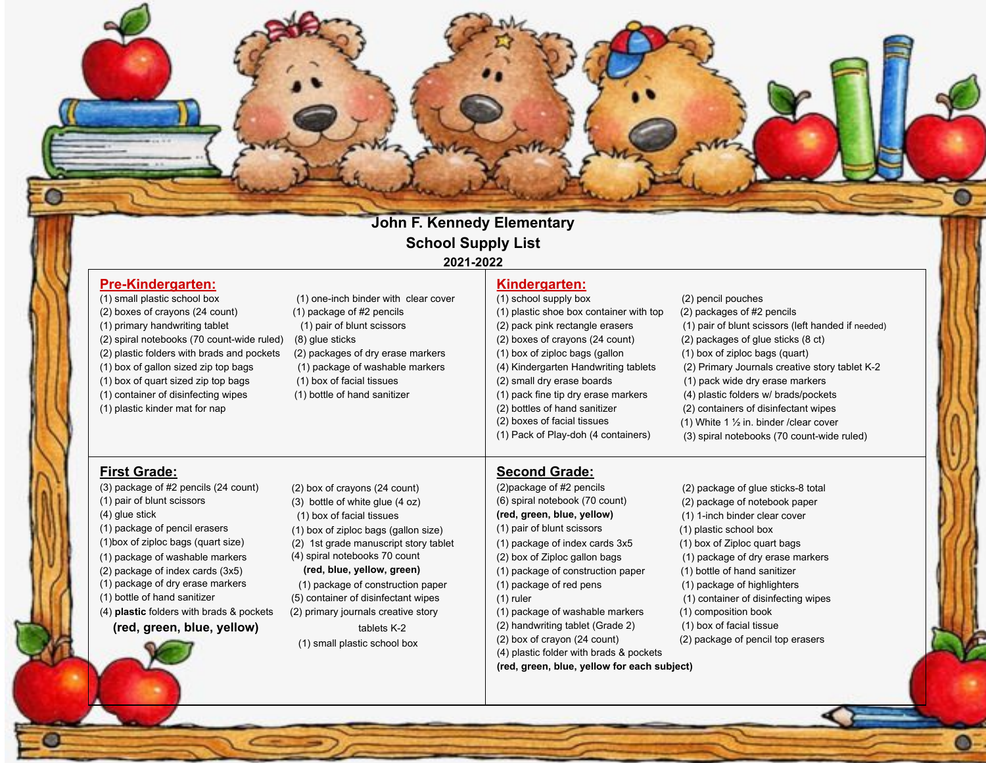### John F. Kennedy Elementary **School Supply List** 2021-2022

 $\bullet$ 

| <b>Pre-Kindergarten:</b>                   |                                          | Kindergarten:                               |                                                    |
|--------------------------------------------|------------------------------------------|---------------------------------------------|----------------------------------------------------|
| (1) small plastic school box               | (1) one-inch binder with clear cover     | (1) school supply box                       | (2) pencil pouches                                 |
| (2) boxes of crayons (24 count)            | $(1)$ package of #2 pencils              | (1) plastic shoe box container with top     | (2) packages of #2 pencils                         |
| (1) primary handwriting tablet             | (1) pair of blunt scissors               | (2) pack pink rectangle erasers             | (1) pair of blunt scissors (left handed if needed) |
| (2) spiral notebooks (70 count-wide ruled) | (8) glue sticks                          | (2) boxes of crayons (24 count)             | (2) packages of glue sticks (8 ct)                 |
| (2) plastic folders with brads and pockets | (2) packages of dry erase markers        | (1) box of ziploc bags (gallon              | (1) box of ziploc bags (quart)                     |
| (1) box of gallon sized zip top bags       | (1) package of washable markers          | (4) Kindergarten Handwriting tablets        | (2) Primary Journals creative story tablet K-2     |
| (1) box of quart sized zip top bags        | (1) box of facial tissues                | (2) small dry erase boards                  | (1) pack wide dry erase markers                    |
| (1) container of disinfecting wipes        | (1) bottle of hand sanitizer             | (1) pack fine tip dry erase markers         | (4) plastic folders w/ brads/pockets               |
| (1) plastic kinder mat for nap             |                                          | (2) bottles of hand sanitizer               | (2) containers of disinfectant wipes               |
|                                            |                                          | (2) boxes of facial tissues                 | (1) White 1 $\frac{1}{2}$ in. binder / clear cover |
|                                            |                                          | (1) Pack of Play-doh (4 containers)         | (3) spiral notebooks (70 count-wide ruled)         |
| <b>First Grade:</b>                        |                                          | <b>Second Grade:</b>                        |                                                    |
| (3) package of #2 pencils (24 count)       | (2) box of crayons (24 count)            | (2) package of #2 pencils                   | (2) package of glue sticks-8 total                 |
| (1) pair of blunt scissors                 | $(3)$ bottle of white glue $(4 oz)$      | (6) spiral notebook (70 count)              | (2) package of notebook paper                      |
| $(4)$ glue stick                           | (1) box of facial tissues                | (red, green, blue, yellow)                  | (1) 1-inch binder clear cover                      |
| (1) package of pencil erasers              | (1) box of ziploc bags (gallon size)     | (1) pair of blunt scissors                  | (1) plastic school box                             |
| (1) box of ziploc bags (quart size)        | 1st grade manuscript story tablet<br>(2) | (1) package of index cards 3x5              | (1) box of Ziploc quart bags                       |
| (1) package of washable markers            | (4) spiral notebooks 70 count            | (2) box of Ziploc gallon bags               | (1) package of dry erase markers                   |
| (2) package of index cards (3x5)           | (red, blue, yellow, green)               | (1) package of construction paper           | (1) bottle of hand sanitizer                       |
| (1) package of dry erase markers           | (1) package of construction paper        | (1) package of red pens                     | (1) package of highlighters                        |
| (1) bottle of hand sanitizer               | (5) container of disinfectant wipes      | $(1)$ ruler                                 | (1) container of disinfecting wipes                |
| (4) plastic folders with brads & pockets   | (2) primary journals creative story      | (1) package of washable markers             | (1) composition book                               |
| (red, green, blue, yellow)                 | tablets K-2                              | (2) handwriting tablet (Grade 2)            | (1) box of facial tissue                           |
|                                            | (1) small plastic school box             | (2) box of crayon (24 count)                | (2) package of pencil top erasers                  |
|                                            |                                          | (4) plastic folder with brads & pockets     |                                                    |
|                                            |                                          | (red, green, blue, yellow for each subject) |                                                    |
|                                            |                                          |                                             |                                                    |

 $\bullet$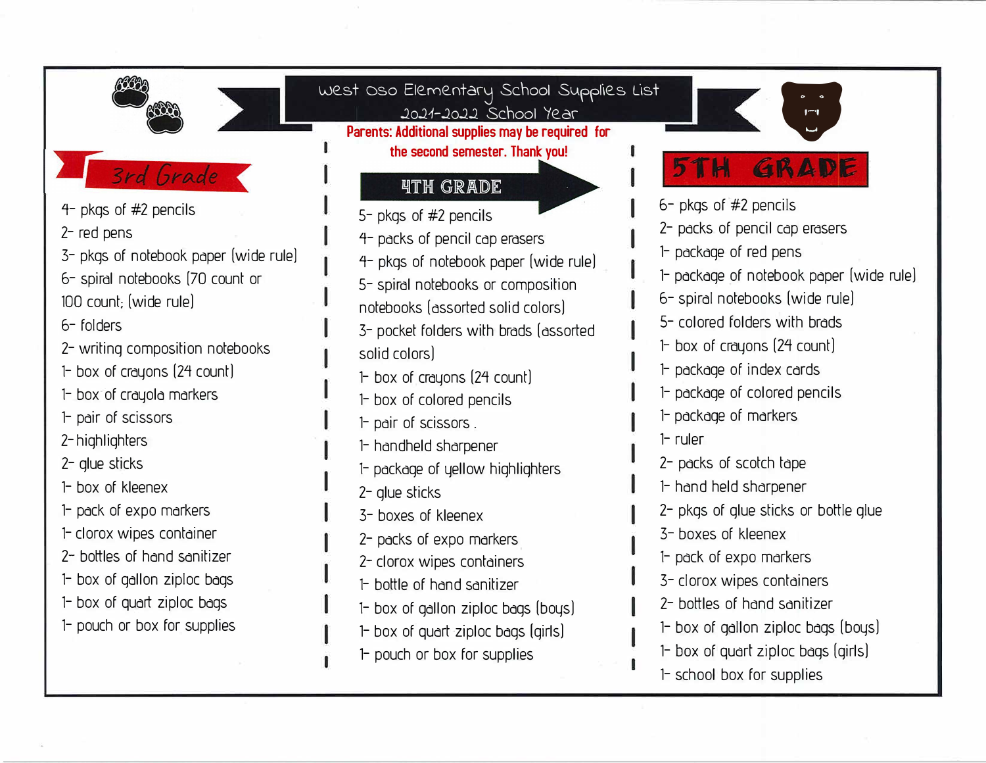| $4-$ pkgs of $#2$ pencils<br>2- red pens<br>3- pkgs of notebook paper (wide rule)<br>6- spiral notebooks (70 count or<br>100 count; (wide rule)<br>6-folders<br>2- writing composition notebooks<br>1- box of crayons (24 count)<br>1- box of crayola markers<br>1- pair of scissors<br>2-highlighters<br>2- glue sticks<br>1- box of kleenex<br>1- pack of expo markers<br>1- clorox wipes container<br>2- bottles of hand sanitizer<br>1- box of gallon ziploc bags<br>1- box of quart ziploc bags<br>1- pouch or box for supplies | West Oso Elementary School Supplies List<br>2021-2022 School Year<br>Parents: Additional supplies may be required for<br>the second semester. Thank you!<br><b><i>ATH GRADE</i></b><br>5- pkgs of #2 pencils<br>4- packs of pencil cap erasers<br>4- pkgs of notebook paper (wide rule)<br>5- spiral notebooks or composition<br>notebooks (assorted solid colors)<br>3- pocket folders with brads (assorted<br>solid colors)<br>$\vdash$ box of crayons (24 count)<br>1- box of colored pencils<br>1- pair of scissors.<br>1- handheld sharpener<br>1- package of yellow highlighters<br>2- glue sticks<br>3- boxes of kleenex<br>2- packs of expo markers<br>2- clorox wipes containers<br>1- bottle of hand sanitizer<br>1- box of gallon ziploc bags (boys)<br>1- box of quart ziploc bags (girls)<br>1- pouch or box for supplies | GRADE<br>5 T H<br>6- pkgs of #2 pencils<br>2- packs of pencil cap erasers<br>1- package of red pens<br>1- package of notebook paper (wide rule)<br>6- spiral notebooks (wide rule)<br>5- colored folders with brads<br>$\mathsf{P}$ box of crayons (24 count)<br>1- package of index cards<br>1- package of colored pencils<br>1- package of markers<br>$1$ -ruler<br>2- packs of scotch tape<br>1- hand held sharpener<br>2- pkgs of glue sticks or bottle glue<br>3- boxes of kleenex<br>1- pack of expo markers<br>3- clorox wipes containers<br>2- bottles of hand sanitizer<br>1- box of gallon ziploc bags (boys)<br>1- box of quart ziploc bags (girls) |
|--------------------------------------------------------------------------------------------------------------------------------------------------------------------------------------------------------------------------------------------------------------------------------------------------------------------------------------------------------------------------------------------------------------------------------------------------------------------------------------------------------------------------------------|----------------------------------------------------------------------------------------------------------------------------------------------------------------------------------------------------------------------------------------------------------------------------------------------------------------------------------------------------------------------------------------------------------------------------------------------------------------------------------------------------------------------------------------------------------------------------------------------------------------------------------------------------------------------------------------------------------------------------------------------------------------------------------------------------------------------------------------|----------------------------------------------------------------------------------------------------------------------------------------------------------------------------------------------------------------------------------------------------------------------------------------------------------------------------------------------------------------------------------------------------------------------------------------------------------------------------------------------------------------------------------------------------------------------------------------------------------------------------------------------------------------|
|                                                                                                                                                                                                                                                                                                                                                                                                                                                                                                                                      |                                                                                                                                                                                                                                                                                                                                                                                                                                                                                                                                                                                                                                                                                                                                                                                                                                        | 1- school box for supplies                                                                                                                                                                                                                                                                                                                                                                                                                                                                                                                                                                                                                                     |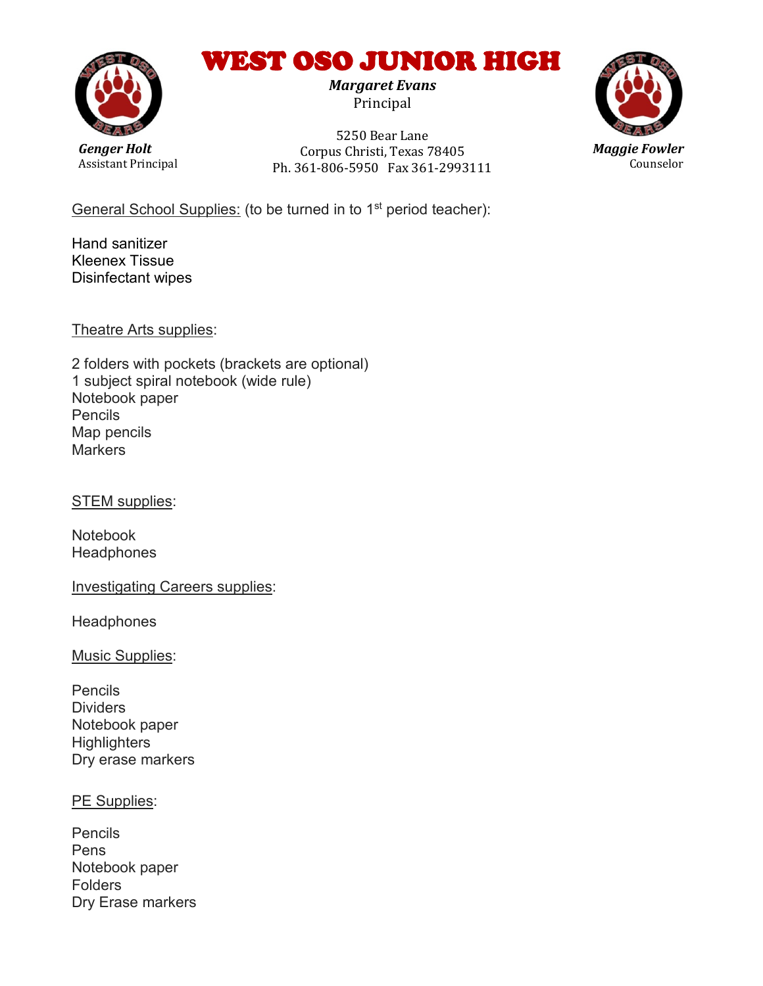## WEST OSO JUNIOR HIGH

*Margaret Evans*  Principal

*Genger Holt* Assistant Principal

5250 Bear Lane Corpus Christi, Texas 78405 Ph. 361-806-5950 Fax 361-2993111



General School Supplies: (to be turned in to 1<sup>st</sup> period teacher):

Hand sanitizer Kleenex Tissue Disinfectant wipes

Theatre Arts supplies:

2 folders with pockets (brackets are optional) 1 subject spiral notebook (wide rule) Notebook paper Pencils Map pencils **Markers** 

STEM supplies:

Notebook **Headphones** 

Investigating Careers supplies:

**Headphones** 

Music Supplies:

Pencils **Dividers** Notebook paper **Highlighters** Dry erase markers

PE Supplies:

Pencils Pens Notebook paper Folders Dry Erase markers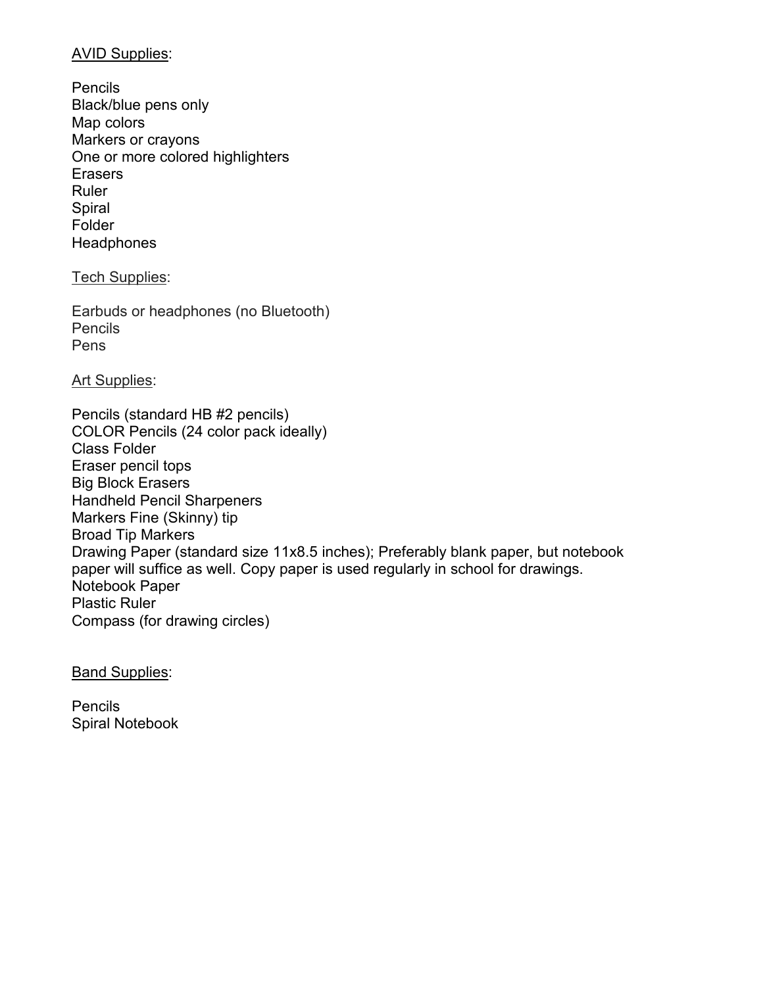#### AVID Supplies:

Pencils Black/blue pens only Map colors Markers or crayons One or more colored highlighters **Erasers** Ruler Spiral Folder **Headphones** 

#### Tech Supplies:

Earbuds or headphones (no Bluetooth) **Pencils** Pens

**Art Supplies:** 

Pencils (standard HB #2 pencils) COLOR Pencils (24 color pack ideally) Class Folder Eraser pencil tops Big Block Erasers Handheld Pencil Sharpeners Markers Fine (Skinny) tip Broad Tip Markers Drawing Paper (standard size 11x8.5 inches); Preferably blank paper, but notebook paper will suffice as well. Copy paper is used regularly in school for drawings. Notebook Paper Plastic Ruler Compass (for drawing circles)

**Band Supplies:** 

**Pencils** Spiral Notebook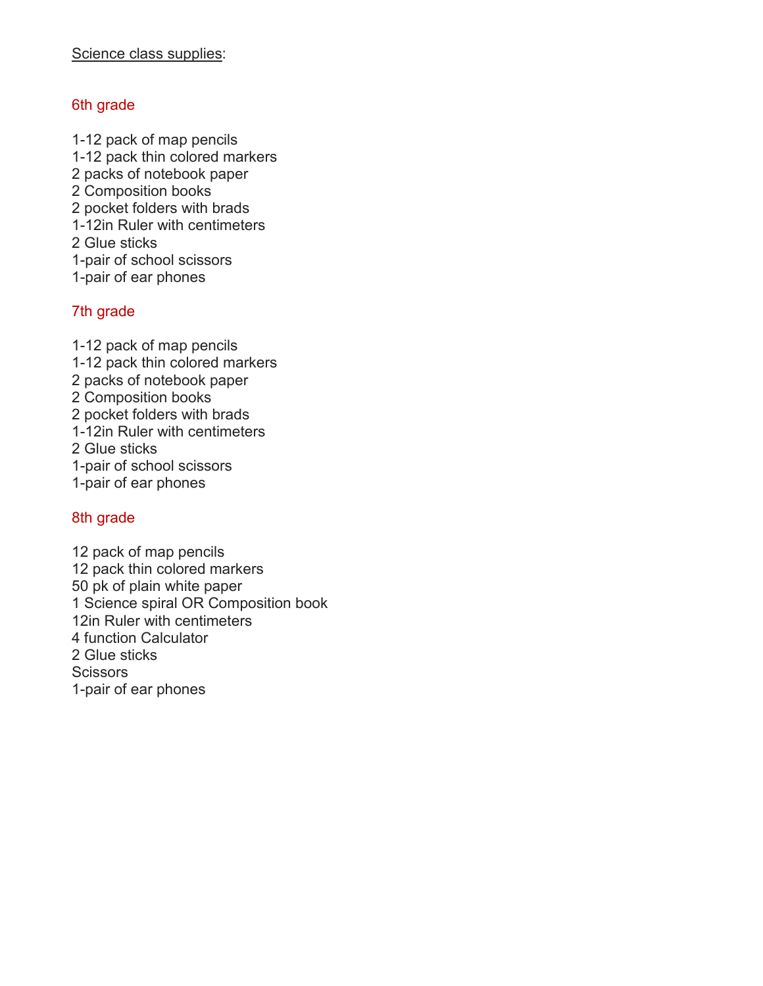#### 6th grade

1-12 pack of map pencils 1-12 pack thin colored markers 2 packs of notebook paper 2 Composition books 2 pocket folders with brads 1-12in Ruler with centimeters 2 Glue sticks 1-pair of school scissors 1-pair of ear phones

#### 7th grade

1-12 pack of map pencils 1-12 pack thin colored markers 2 packs of notebook paper 2 Composition books 2 pocket folders with brads 1-12in Ruler with centimeters 2 Glue sticks 1-pair of school scissors 1-pair of ear phones

#### 8th grade

12 pack of map pencils 12 pack thin colored markers 50 pk of plain white paper 1 Science spiral OR Composition book 12in Ruler with centimeters 4 function Calculator 2 Glue sticks **Scissors** 1-pair of ear phones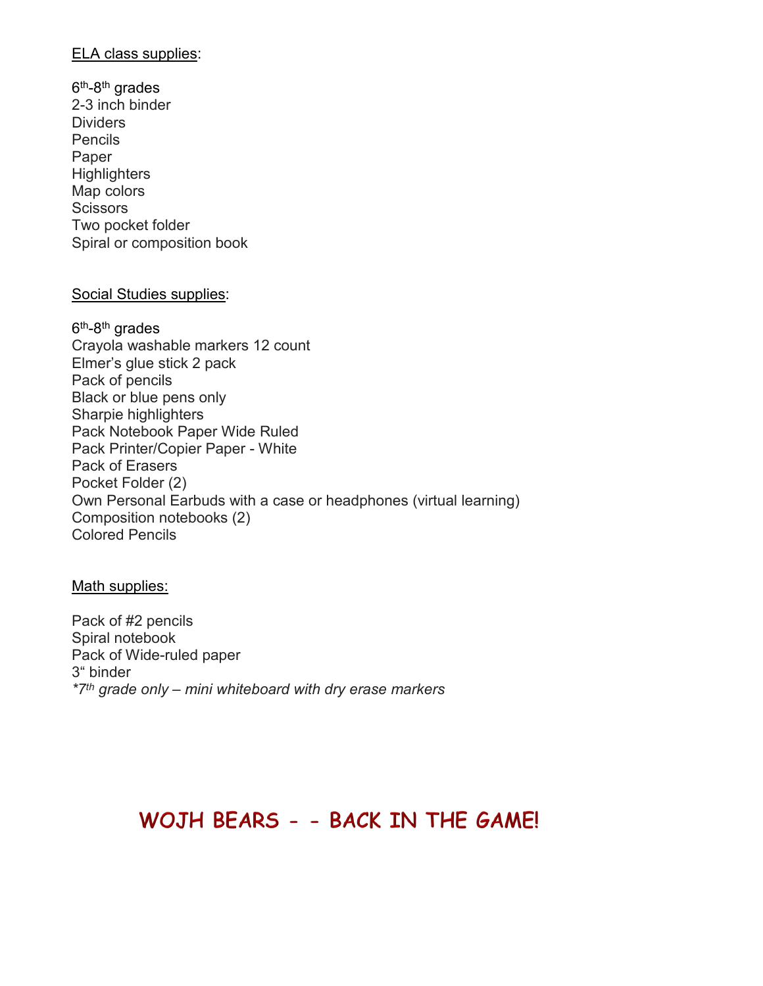#### ELA class supplies:

 $6<sup>th</sup>$ -8<sup>th</sup> grades 2-3 inch binder Dividers Pencils Paper **Highlighters** Map colors **Scissors** Two pocket folder Spiral or composition book

#### Social Studies supplies:

 $6<sup>th</sup>-8<sup>th</sup>$  grades Crayola washable markers 12 count Elmer's glue stick 2 pack Pack of pencils Black or blue pens only Sharpie highlighters Pack Notebook Paper Wide Ruled Pack Printer/Copier Paper - White Pack of Erasers Pocket Folder (2) Own Personal Earbuds with a case or headphones (virtual learning) Composition notebooks (2) Colored Pencils

#### Math supplies:

Pack of #2 pencils Spiral notebook Pack of Wide-ruled paper 3" binder *\*7th grade only – mini whiteboard with dry erase markers*

## WOJH BEARS - - BACK IN THE GAME!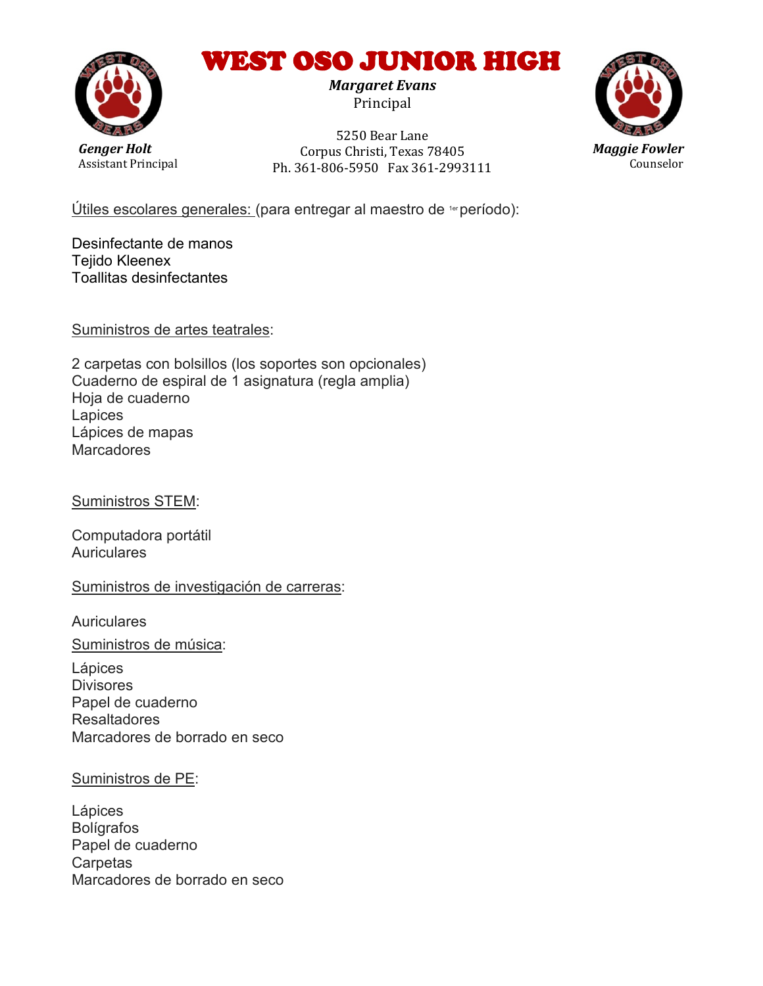# WEST OSO JUNIOR HIGH

*Margaret Evans*  Principal



*Genger Holt* Assistant Principal

5250 Bear Lane Corpus Christi, Texas 78405 Ph. 361-806-5950 Fax 361-2993111



Útiles escolares generales: (para entregar al maestro de 1erperíodo):

Desinfectante de manos Tejido Kleenex Toallitas desinfectantes

Suministros de artes teatrales:

2 carpetas con bolsillos (los soportes son opcionales) Cuaderno de espiral de 1 asignatura (regla amplia) Hoja de cuaderno **Lapices** Lápices de mapas **Marcadores** 

Suministros STEM:

Computadora portátil Auriculares

Suministros de investigación de carreras:

**Auriculares** 

Suministros de música:

Lápices **Divisores** Papel de cuaderno Resaltadores Marcadores de borrado en seco

#### Suministros de PE:

Lápices Bolígrafos Papel de cuaderno **Carpetas** Marcadores de borrado en seco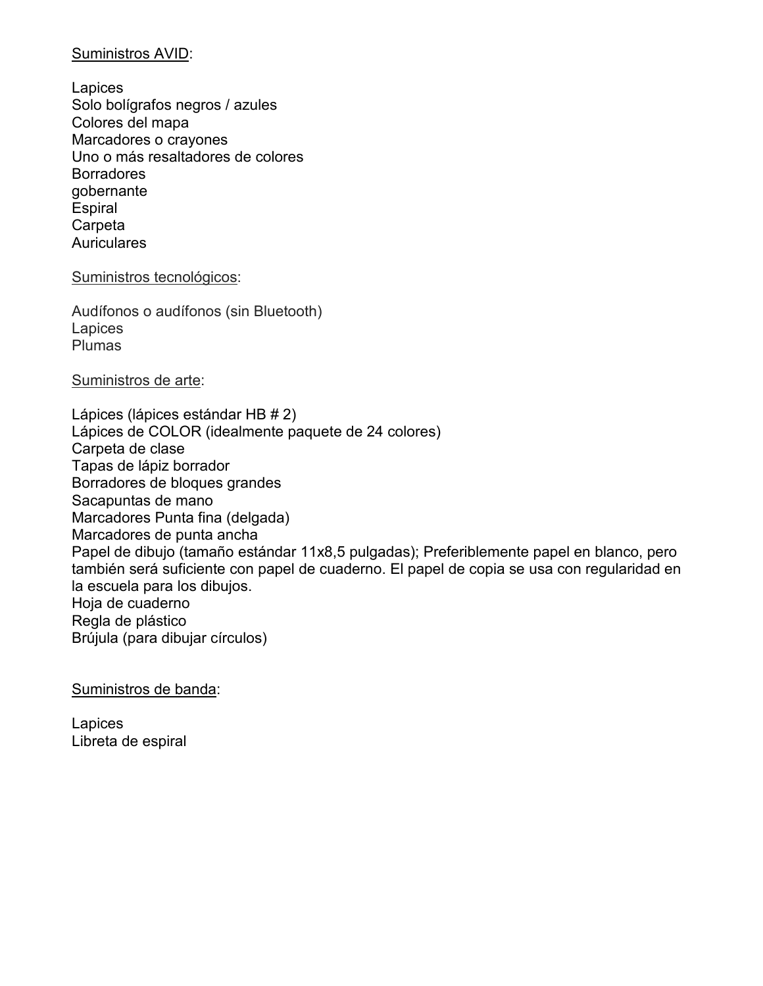#### Suministros AVID:

**Lapices** Solo bolígrafos negros / azules Colores del mapa Marcadores o crayones Uno o más resaltadores de colores **Borradores** gobernante **Espiral Carpeta Auriculares** 

#### Suministros tecnológicos:

Audífonos o audífonos (sin Bluetooth) **Lapices** Plumas

#### Suministros de arte:

Lápices (lápices estándar HB # 2) Lápices de COLOR (idealmente paquete de 24 colores) Carpeta de clase Tapas de lápiz borrador Borradores de bloques grandes Sacapuntas de mano Marcadores Punta fina (delgada) Marcadores de punta ancha Papel de dibujo (tamaño estándar 11x8,5 pulgadas); Preferiblemente papel en blanco, pero también será suficiente con papel de cuaderno. El papel de copia se usa con regularidad en la escuela para los dibujos. Hoja de cuaderno Regla de plástico Brújula (para dibujar círculos)

Suministros de banda:

**Lapices** Libreta de espiral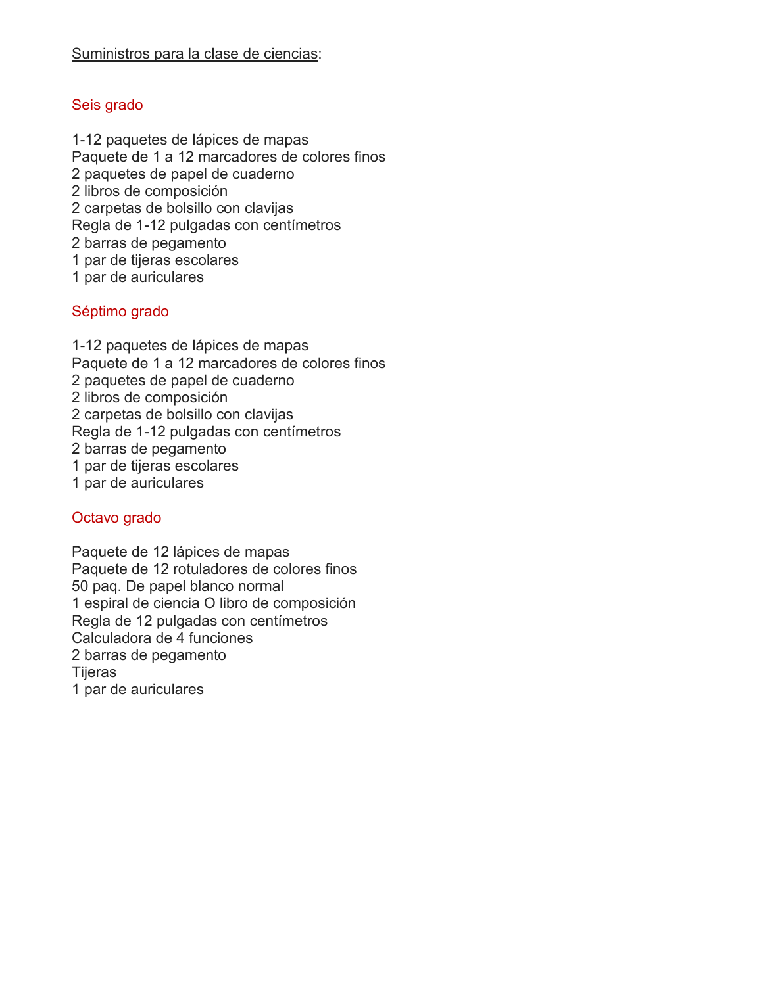#### Seis grado

1-12 paquetes de lápices de mapas Paquete de 1 a 12 marcadores de colores finos 2 paquetes de papel de cuaderno 2 libros de composición 2 carpetas de bolsillo con clavijas Regla de 1-12 pulgadas con centímetros 2 barras de pegamento 1 par de tijeras escolares 1 par de auriculares

#### Séptimo grado

1-12 paquetes de lápices de mapas Paquete de 1 a 12 marcadores de colores finos 2 paquetes de papel de cuaderno 2 libros de composición 2 carpetas de bolsillo con clavijas Regla de 1-12 pulgadas con centímetros 2 barras de pegamento 1 par de tijeras escolares 1 par de auriculares

#### Octavo grado

Paquete de 12 lápices de mapas Paquete de 12 rotuladores de colores finos 50 paq. De papel blanco normal 1 espiral de ciencia O libro de composición Regla de 12 pulgadas con centímetros Calculadora de 4 funciones 2 barras de pegamento **Tijeras** 1 par de auriculares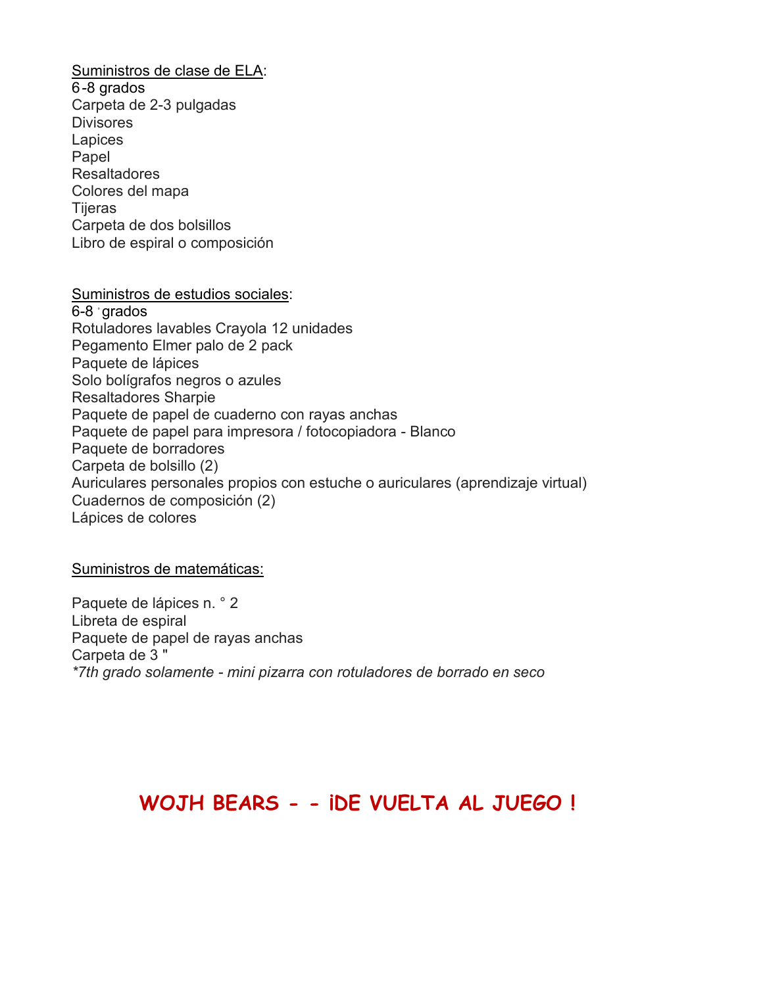Suministros de clase de ELA: 6-8 grados Carpeta de 2-3 pulgadas **Divisores Lapices** Papel Resaltadores Colores del mapa Tijeras Carpeta de dos bolsillos Libro de espiral o composición

Suministros de estudios sociales: 6-8 ° grados Rotuladores lavables Crayola 12 unidades Pegamento Elmer palo de 2 pack Paquete de lápices Solo bolígrafos negros o azules Resaltadores Sharpie Paquete de papel de cuaderno con rayas anchas Paquete de papel para impresora / fotocopiadora - Blanco Paquete de borradores Carpeta de bolsillo (2) Auriculares personales propios con estuche o auriculares (aprendizaje virtual) Cuadernos de composición (2) Lápices de colores

#### Suministros de matemáticas:

Paquete de lápices n. ° 2 Libreta de espiral Paquete de papel de rayas anchas Carpeta de 3 " *\*7th grado solamente - mini pizarra con rotuladores de borrado en seco*

## **WOJH BEARS - - ¡DE VUELTA AL JUEGO !**